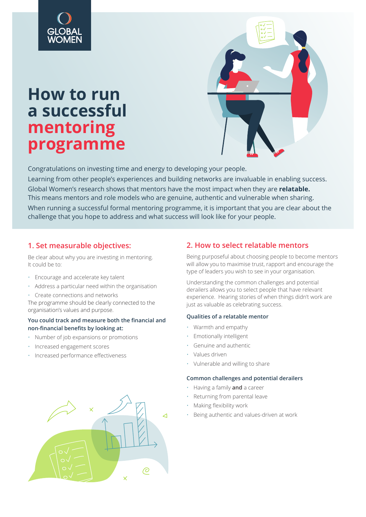# **How to run a successful mentoring programme**



Congratulations on investing time and energy to developing your people. Learning from other people's experiences and building networks are invaluable in enabling success. Global Women's research shows that mentors have the most impact when they are **relatable.** This means mentors and role models who are genuine, authentic and vulnerable when sharing. When running a successful formal mentoring programme, it is important that you are clear about the challenge that you hope to address and what success will look like for your people.

# **1. Set measurable objectives:**

Be clear about why you are investing in mentoring. It could be to:

- Encourage and accelerate key talent
- Address a particular need within the organisation
- Create connections and networks The programme should be clearly connected to the organisation's values and purpose.

### **You could track and measure both the financial and non-financial benefits by looking at:**

- Number of job expansions or promotions
- Increased engagement scores
- Increased performance effectiveness



# **2. How to select relatable mentors**

Being purposeful about choosing people to become mentors will allow you to maximise trust, rapport and encourage the type of leaders you wish to see in your organisation.

Understanding the common challenges and potential derailers allows you to select people that have relevant experience. Hearing stories of when things didn't work are just as valuable as celebrating success.

### **Qualities of a relatable mentor**

- Warmth and empathy
- Emotionally intelligent
- Genuine and authentic
- Values driven
- Vulnerable and willing to share

#### **Common challenges and potential derailers**

- Having a family **and** a career
- Returning from parental leave
- Making flexibility work
- Being authentic and values-driven at work